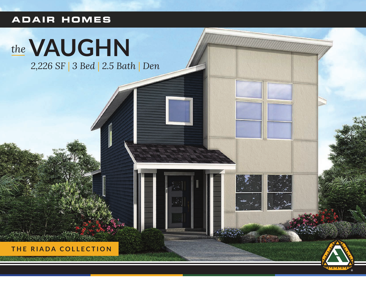### **ADAIR HOMES**

# the **VAUGHN**

2,226 SF | 3 Bed | 2.5 Bath | Den